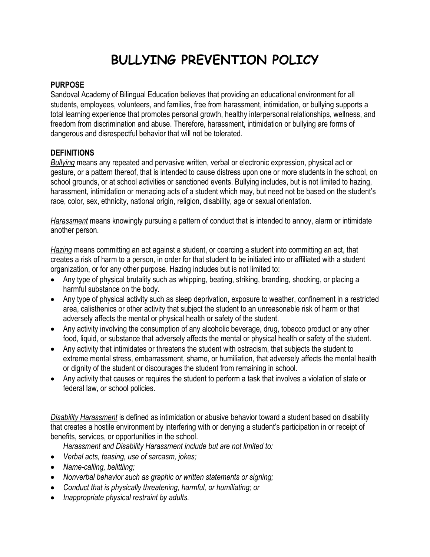# **BULLYING PREVENTION POLICY**

#### **PURPOSE**

Sandoval Academy of Bilingual Education believes that providing an educational environment for all students, employees, volunteers, and families, free from harassment, intimidation, or bullying supports a total learning experience that promotes personal growth, healthy interpersonal relationships, wellness, and freedom from discrimination and abuse. Therefore, harassment, intimidation or bullying are forms of dangerous and disrespectful behavior that will not be tolerated.

#### **DEFINITIONS**

*Bullying* means any repeated and pervasive written, verbal or electronic expression, physical act or gesture, or a pattern thereof, that is intended to cause distress upon one or more students in the school, on school grounds, or at school activities or sanctioned events. Bullying includes, but is not limited to hazing, harassment, intimidation or menacing acts of a student which may, but need not be based on the student's race, color, sex, ethnicity, national origin, religion, disability, age or sexual orientation.

*Harassment* means knowingly pursuing a pattern of conduct that is intended to annoy, alarm or intimidate another person.

*Hazing* means committing an act against a student, or coercing a student into committing an act, that creates a risk of harm to a person, in order for that student to be initiated into or affiliated with a student organization, or for any other purpose. Hazing includes but is not limited to:

- Any type of physical brutality such as whipping, beating, striking, branding, shocking, or placing a harmful substance on the body.
- Any type of physical activity such as sleep deprivation, exposure to weather, confinement in a restricted area, calisthenics or other activity that subject the student to an unreasonable risk of harm or that adversely affects the mental or physical health or safety of the student.
- Any activity involving the consumption of any alcoholic beverage, drug, tobacco product or any other food, liquid, or substance that adversely affects the mental or physical health or safety of the student.
- Any activity that intimidates or threatens the student with ostracism, that subjects the student to extreme mental stress, embarrassment, shame, or humiliation, that adversely affects the mental health or dignity of the student or discourages the student from remaining in school.
- Any activity that causes or requires the student to perform a task that involves a violation of state or federal law, or school policies.

*Disability Harassment* is defined as intimidation or abusive behavior toward a student based on disability that creates a hostile environment by interfering with or denying a student's participation in or receipt of benefits, services, or opportunities in the school.

*Harassment and Disability Harassment include but are not limited to:*

- *Verbal acts, teasing, use of sarcasm, jokes;*
- *Name-calling, belittling;*
- *Nonverbal behavior such as graphic or written statements or signing;*
- *Conduct that is physically threatening, harmful, or humiliating; or*
- *Inappropriate physical restraint by adults.*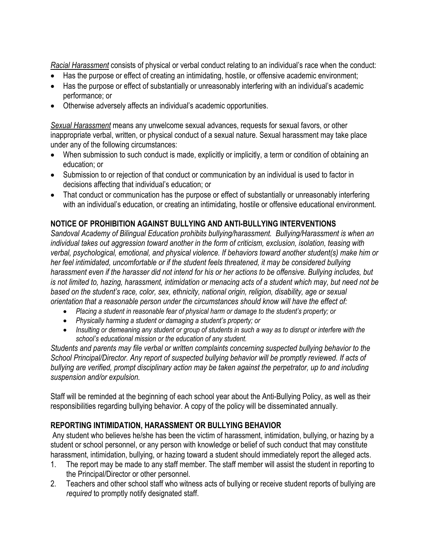*Racial Harassment* consists of physical or verbal conduct relating to an individual's race when the conduct:

- Has the purpose or effect of creating an intimidating, hostile, or offensive academic environment;
- Has the purpose or effect of substantially or unreasonably interfering with an individual's academic performance; or
- Otherwise adversely affects an individual's academic opportunities.

*Sexual Harassment* means any unwelcome sexual advances, requests for sexual favors, or other inappropriate verbal, written, or physical conduct of a sexual nature. Sexual harassment may take place under any of the following circumstances:

- When submission to such conduct is made, explicitly or implicitly, a term or condition of obtaining an education; or
- Submission to or rejection of that conduct or communication by an individual is used to factor in decisions affecting that individual's education; or
- That conduct or communication has the purpose or effect of substantially or unreasonably interfering with an individual's education, or creating an intimidating, hostile or offensive educational environment.

## **NOTICE OF PROHIBITION AGAINST BULLYING AND ANTI-BULLYING INTERVENTIONS**

*Sandoval Academy of Bilingual Education prohibits bullying/harassment. Bullying/Harassment is when an individual takes out aggression toward another in the form of criticism, exclusion, isolation, teasing with verbal, psychological, emotional, and physical violence. If behaviors toward another student(s) make him or her feel intimidated, uncomfortable or if the student feels threatened, it may be considered bullying harassment even if the harasser did not intend for his or her actions to be offensive. Bullying includes, but is not limited to, hazing, harassment, intimidation or menacing acts of a student which may, but need not be based on the student's race, color, sex, ethnicity, national origin, religion, disability, age or sexual orientation that a reasonable person under the circumstances should know will have the effect of:*

- *Placing a student in reasonable fear of physical harm or damage to the student's property; or*
- *Physically harming a student or damaging a student's property; or*
- *Insulting or demeaning any student or group of students in such a way as to disrupt or interfere with the school's educational mission or the education of any student.*

*Students and parents may file verbal or written complaints concerning suspected bullying behavior to the School Principal/Director. Any report of suspected bullying behavior will be promptly reviewed. If acts of bullying are verified, prompt disciplinary action may be taken against the perpetrator, up to and including suspension and/or expulsion.*

Staff will be reminded at the beginning of each school year about the Anti-Bullying Policy, as well as their responsibilities regarding bullying behavior. A copy of the policy will be disseminated annually.

## **REPORTING INTIMIDATION, HARASSMENT OR BULLYING BEHAVIOR**

Any student who believes he/she has been the victim of harassment, intimidation, bullying, or hazing by a student or school personnel, or any person with knowledge or belief of such conduct that may constitute harassment, intimidation, bullying, or hazing toward a student should immediately report the alleged acts.

- 1. The report may be made to any staff member. The staff member will assist the student in reporting to the Principal/Director or other personnel.
- 2. Teachers and other school staff who witness acts of bullying or receive student reports of bullying are *required* to promptly notify designated staff.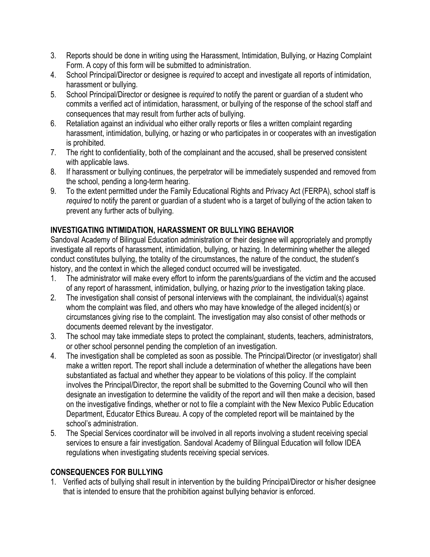- 3. Reports should be done in writing using the Harassment, Intimidation, Bullying, or Hazing Complaint Form. A copy of this form will be submitted to administration.
- 4. School Principal/Director or designee is *required* to accept and investigate all reports of intimidation, harassment or bullying.
- 5. School Principal/Director or designee is *required* to notify the parent or guardian of a student who commits a verified act of intimidation, harassment, or bullying of the response of the school staff and consequences that may result from further acts of bullying.
- 6. Retaliation against an individual who either orally reports or files a written complaint regarding harassment, intimidation, bullying, or hazing or who participates in or cooperates with an investigation is prohibited.
- 7. The right to confidentiality, both of the complainant and the accused, shall be preserved consistent with applicable laws.
- 8. If harassment or bullying continues, the perpetrator will be immediately suspended and removed from the school, pending a long-term hearing.
- 9. To the extent permitted under the Family Educational Rights and Privacy Act (FERPA), school staff is *required* to notify the parent or guardian of a student who is a target of bullying of the action taken to prevent any further acts of bullying.

## **INVESTIGATING INTIMIDATION, HARASSMENT OR BULLYING BEHAVIOR**

Sandoval Academy of Bilingual Education administration or their designee will appropriately and promptly investigate all reports of harassment, intimidation, bullying, or hazing. In determining whether the alleged conduct constitutes bullying, the totality of the circumstances, the nature of the conduct, the student's history, and the context in which the alleged conduct occurred will be investigated.

- 1. The administrator will make every effort to inform the parents/guardians of the victim and the accused of any report of harassment, intimidation, bullying, or hazing *prior* to the investigation taking place.
- 2. The investigation shall consist of personal interviews with the complainant, the individual(s) against whom the complaint was filed, and others who may have knowledge of the alleged incident(s) or circumstances giving rise to the complaint. The investigation may also consist of other methods or documents deemed relevant by the investigator.
- 3. The school may take immediate steps to protect the complainant, students, teachers, administrators, or other school personnel pending the completion of an investigation.
- 4. The investigation shall be completed as soon as possible. The Principal/Director (or investigator) shall make a written report. The report shall include a determination of whether the allegations have been substantiated as factual and whether they appear to be violations of this policy. If the complaint involves the Principal/Director, the report shall be submitted to the Governing Council who will then designate an investigation to determine the validity of the report and will then make a decision, based on the investigative findings, whether or not to file a complaint with the New Mexico Public Education Department, Educator Ethics Bureau. A copy of the completed report will be maintained by the school's administration.
- 5. The Special Services coordinator will be involved in all reports involving a student receiving special services to ensure a fair investigation. Sandoval Academy of Bilingual Education will follow IDEA regulations when investigating students receiving special services.

## **CONSEQUENCES FOR BULLYING**

1. Verified acts of bullying shall result in intervention by the building Principal/Director or his/her designee that is intended to ensure that the prohibition against bullying behavior is enforced.